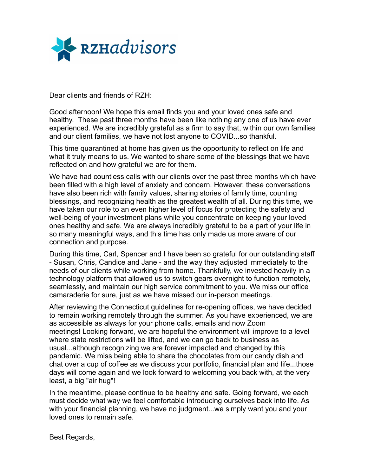

Dear clients and friends of RZH:

Good afternoon! We hope this email finds you and your loved ones safe and healthy. These past three months have been like nothing any one of us have ever experienced. We are incredibly grateful as a firm to say that, within our own families and our client families, we have not lost anyone to COVID...so thankful.

This time quarantined at home has given us the opportunity to reflect on life and what it truly means to us. We wanted to share some of the blessings that we have reflected on and how grateful we are for them.

We have had countless calls with our clients over the past three months which have been filled with a high level of anxiety and concern. However, these conversations have also been rich with family values, sharing stories of family time, counting blessings, and recognizing health as the greatest wealth of all. During this time, we have taken our role to an even higher level of focus for protecting the safety and well-being of your investment plans while you concentrate on keeping your loved ones healthy and safe. We are always incredibly grateful to be a part of your life in so many meaningful ways, and this time has only made us more aware of our connection and purpose.

During this time, Carl, Spencer and I have been so grateful for our outstanding staff - Susan, Chris, Candice and Jane - and the way they adjusted immediately to the needs of our clients while working from home. Thankfully, we invested heavily in a technology platform that allowed us to switch gears overnight to function remotely, seamlessly, and maintain our high service commitment to you. We miss our office camaraderie for sure, just as we have missed our in-person meetings.

After reviewing the Connecticut guidelines for re-opening offices, we have decided to remain working remotely through the summer. As you have experienced, we are as accessible as always for your phone calls, emails and now Zoom meetings! Looking forward, we are hopeful the environment will improve to a level where state restrictions will be lifted, and we can go back to business as usual...although recognizing we are forever impacted and changed by this pandemic. We miss being able to share the chocolates from our candy dish and chat over a cup of coffee as we discuss your portfolio, financial plan and life...those days will come again and we look forward to welcoming you back with, at the very least, a big "air hug"!

In the meantime, please continue to be healthy and safe. Going forward, we each must decide what way we feel comfortable introducing ourselves back into life. As with your financial planning, we have no judgment...we simply want you and your loved ones to remain safe.

Best Regards,